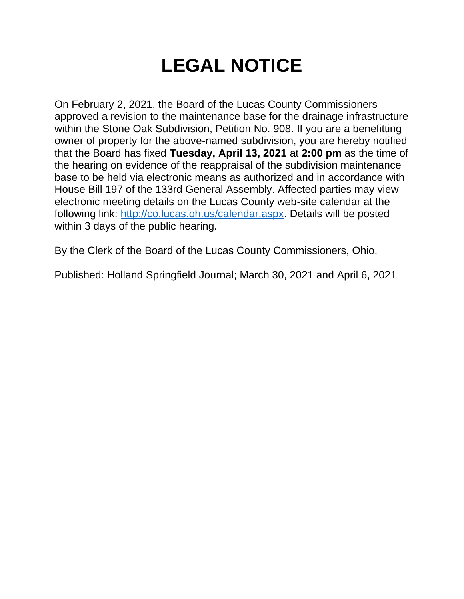# **LEGAL NOTICE**

On February 2, 2021, the Board of the Lucas County Commissioners approved a revision to the maintenance base for the drainage infrastructure within the Stone Oak Subdivision, Petition No. 908. If you are a benefitting owner of property for the above-named subdivision, you are hereby notified that the Board has fixed **Tuesday, April 13, 2021** at **2:00 pm** as the time of the hearing on evidence of the reappraisal of the subdivision maintenance base to be held via electronic means as authorized and in accordance with House Bill 197 of the 133rd General Assembly. Affected parties may view electronic meeting details on the Lucas County web-site calendar at the following link: [http://co.lucas.oh.us/calendar.aspx.](http://co.lucas.oh.us/calendar.aspx) Details will be posted within 3 days of the public hearing.

By the Clerk of the Board of the Lucas County Commissioners, Ohio.

Published: Holland Springfield Journal; March 30, 2021 and April 6, 2021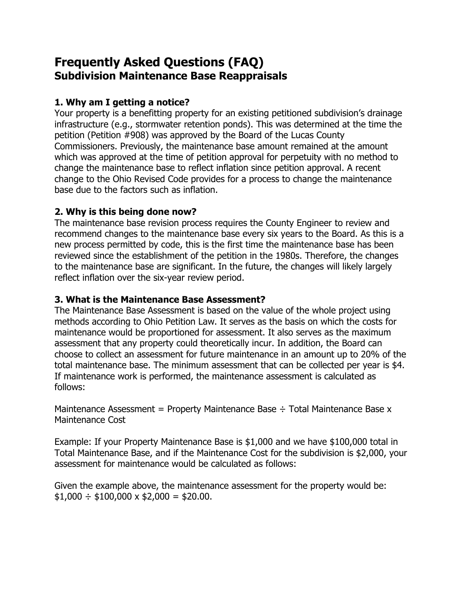## **Frequently Asked Questions (FAQ) Subdivision Maintenance Base Reappraisals**

### **1. Why am I getting a notice?**

Your property is a benefitting property for an existing petitioned subdivision's drainage infrastructure (e.g., stormwater retention ponds). This was determined at the time the petition (Petition #908) was approved by the Board of the Lucas County Commissioners. Previously, the maintenance base amount remained at the amount which was approved at the time of petition approval for perpetuity with no method to change the maintenance base to reflect inflation since petition approval. A recent change to the Ohio Revised Code provides for a process to change the maintenance base due to the factors such as inflation.

#### **2. Why is this being done now?**

The maintenance base revision process requires the County Engineer to review and recommend changes to the maintenance base every six years to the Board. As this is a new process permitted by code, this is the first time the maintenance base has been reviewed since the establishment of the petition in the 1980s. Therefore, the changes to the maintenance base are significant. In the future, the changes will likely largely reflect inflation over the six-year review period.

#### **3. What is the Maintenance Base Assessment?**

The Maintenance Base Assessment is based on the value of the whole project using methods according to Ohio Petition Law. It serves as the basis on which the costs for maintenance would be proportioned for assessment. It also serves as the maximum assessment that any property could theoretically incur. In addition, the Board can choose to collect an assessment for future maintenance in an amount up to 20% of the total maintenance base. The minimum assessment that can be collected per year is \$4. If maintenance work is performed, the maintenance assessment is calculated as follows:

Maintenance Assessment = Property Maintenance Base  $\div$  Total Maintenance Base x Maintenance Cost

Example: If your Property Maintenance Base is \$1,000 and we have \$100,000 total in Total Maintenance Base, and if the Maintenance Cost for the subdivision is \$2,000, your assessment for maintenance would be calculated as follows:

Given the example above, the maintenance assessment for the property would be:  $$1,000 \div $100,000 \times $2,000 = $20.00$ .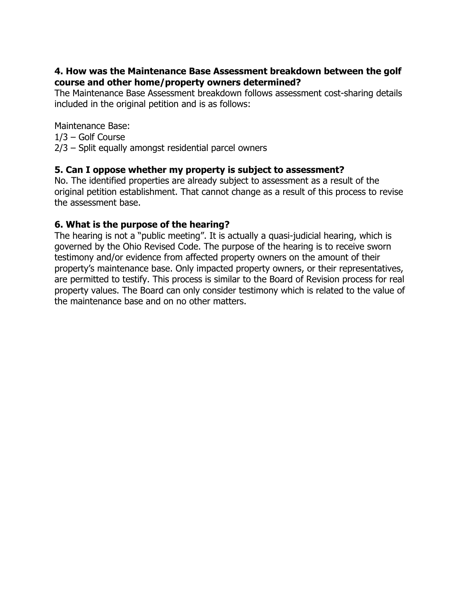#### **4. How was the Maintenance Base Assessment breakdown between the golf course and other home/property owners determined?**

The Maintenance Base Assessment breakdown follows assessment cost-sharing details included in the original petition and is as follows:

Maintenance Base:

1/3 – Golf Course

2/3 – Split equally amongst residential parcel owners

#### **5. Can I oppose whether my property is subject to assessment?**

No. The identified properties are already subject to assessment as a result of the original petition establishment. That cannot change as a result of this process to revise the assessment base.

#### **6. What is the purpose of the hearing?**

The hearing is not a "public meeting". It is actually a quasi-judicial hearing, which is governed by the Ohio Revised Code. The purpose of the hearing is to receive sworn testimony and/or evidence from affected property owners on the amount of their property's maintenance base. Only impacted property owners, or their representatives, are permitted to testify. This process is similar to the Board of Revision process for real property values. The Board can only consider testimony which is related to the value of the maintenance base and on no other matters.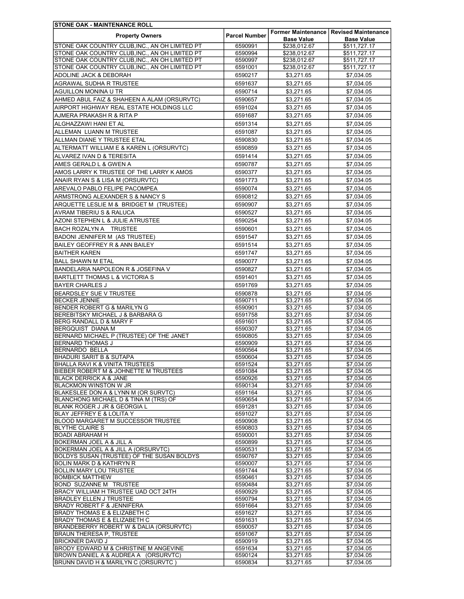| <b>STONE OAK - MAINTENANCE ROLL</b>                                                     |                      |                          |                                          |
|-----------------------------------------------------------------------------------------|----------------------|--------------------------|------------------------------------------|
| <b>Property Owners</b>                                                                  | <b>Parcel Number</b> |                          | Former Maintenance   Revised Maintenance |
|                                                                                         |                      | <b>Base Value</b>        | <b>Base Value</b>                        |
| STONE OAK COUNTRY CLUB, INC., AN OH LIMITED PT                                          | 6590991              | \$238,012.67             | \$511,727.17                             |
| STONE OAK COUNTRY CLUB, INC., AN OH LIMITED PT                                          | 6590994              | \$238,012.67             | \$511,727.17                             |
| STONE OAK COUNTRY CLUB, INC., AN OH LIMITED PT                                          | 6590997              | \$238,012.67             | \$511,727.17                             |
| STONE OAK COUNTRY CLUB, INC., AN OH LIMITED PT                                          | 6591001              | \$238,012.67             | \$511,727.17                             |
| ADOLINE JACK & DEBORAH                                                                  | 6590217              | \$3,271.65               | \$7,034.05                               |
| AGRAWAL SUDHA R TRUSTEE                                                                 | 6591637              | \$3,271.65               | \$7,034.05                               |
| AGUILLON MONINA U TR                                                                    | 6590714              | \$3,271.65               | \$7,034.05                               |
| AHMED ABUL FAIZ & SHAHEEN A ALAM (ORSURVTC)                                             | 6590657              | \$3,271.65               | \$7,034.05                               |
| AIRPORT HIGHWAY REAL ESTATE HOLDINGS LLC                                                | 6591024              | \$3,271.65               | \$7,034.05                               |
| AJMERA PRAKASH R & RITA P                                                               | 6591687              | \$3,271.65               | \$7,034.05                               |
|                                                                                         |                      |                          |                                          |
| ALGHAZZAWI HANI ET AL                                                                   | 6591314              | \$3,271.65               | \$7,034.05                               |
| ALLEMAN LUANN M TRUSTEE                                                                 | 6591087              | \$3,271.65               | \$7,034.05                               |
| ALLMAN DIANE Y TRUSTEE ETAL                                                             | 6590830              | \$3,271.65               | \$7,034.05                               |
| ALTERMATT WILLIAM E & KAREN L (ORSURVTC)                                                | 6590859              | \$3,271.65               | \$7,034.05                               |
| ALVAREZ IVAN D & TERESITA                                                               | 6591414              | \$3,271.65               | \$7,034.05                               |
| AMES GERALD L & GWEN A                                                                  | 6590787              | \$3,271.65               | \$7,034.05                               |
| AMOS LARRY K TRUSTEE OF THE LARRY K AMOS                                                | 6590377              | \$3,271.65               | \$7,034.05                               |
| ANAIR RYAN S & LISA M (ORSURVTC)                                                        | 6591773              | \$3,271.65               | \$7,034.05                               |
|                                                                                         |                      |                          |                                          |
| AREVALO PABLO FELIPE PACOMPEA                                                           | 6590074              | \$3,271.65               | \$7,034.05                               |
| ARMSTRONG ALEXANDER S & NANCY S                                                         | 6590812              | \$3,271.65               | \$7,034.05                               |
| ARQUETTE LESLIE M & BRIDGET M (TRUSTEE)                                                 | 6590907              | \$3,271.65               | \$7,034.05                               |
| AVRAM TIBERIU S & RALUCA                                                                | 6590527              | \$3,271.65               | \$7,034.05                               |
| AZONI STEPHEN L & JULIE ATRUSTEE                                                        | 6590254              | \$3,271.65               | \$7,034.05                               |
| BACH ROZALYN A TRUSTEE                                                                  | 6590601              | \$3,271.65               | \$7,034.05                               |
| BADONI JENNIFER M (AS TRUSTEE)                                                          | 6591547              | \$3,271.65               | \$7,034.05                               |
| BAILEY GEOFFREY R & ANN BAILEY                                                          | 6591514              | \$3,271.65               | \$7,034.05                               |
|                                                                                         |                      |                          |                                          |
| <b>BAITHER KAREN</b>                                                                    | 6591747              | \$3,271.65               | \$7,034.05                               |
| <b>BALL SHAWN M ETAL</b>                                                                | 6590077              | \$3,271.65               | \$7,034.05                               |
| BANDELARIA NAPOLEON R & JOSEFINA V                                                      | 6590827              | \$3,271.65               | \$7,034.05                               |
| BARTLETT THOMAS L & VICTORIA S                                                          | 6591401              | \$3,271.65               | \$7,034.05                               |
| <b>BAYER CHARLES J</b>                                                                  | 6591769              | \$3,271.65               | \$7,034.05                               |
| BEARDSLEY SUE V TRUSTEE                                                                 | 6590878              | \$3,271.65               | \$7.034.05                               |
| <b>BECKER JENNIE</b>                                                                    | 6590711              | \$3,271.65               | \$7,034.05                               |
| BENDER ROBERT G & MARILYN G                                                             | 6590901              | \$3,271.65               | \$7,034.05                               |
| BEREBITSKY MICHAEL J & BARBARA G                                                        | 6591758              | \$3,271.65               | \$7.034.05                               |
| BERG RANDALL D & MARY F                                                                 | 6591601              | \$3,271.65               | \$7,034.05                               |
| <b>BERGQUIST DIANA M</b>                                                                | 6590307              | \$3,271.65               | \$7,034.05                               |
| BERNARD MICHAEL P (TRUSTEE) OF THE JANET                                                | 6590805              | \$3,271.65               | \$7,034.05                               |
| <b>BERNARD THOMAS J</b>                                                                 | 6590909              | \$3.271.65               | \$7,034.05                               |
| BERNARDO BELLA                                                                          | 6590564              | \$3,271.65               | \$7,034.05                               |
| BHADURI SARIT B & SUTAPA                                                                | 6590604              | \$3,271.65               | \$7,034.05                               |
| BHALLA RAVI K & VINITA TRUSTEES                                                         | 6591524              | \$3,271.65               | \$7,034.05                               |
| BIEBER ROBERT M & JOHNETTE M TRUSTEES                                                   | 6591084              | \$3,271.65               | \$7,034.05                               |
| <b>BLACK DERRICK A &amp; JANE</b>                                                       | 6590926              | \$3,271.65               | \$7.034.05                               |
| <b>BLACKMON WINSTON W JR</b>                                                            | 6590134              | \$3,271.65               | \$7,034.05                               |
| BLAKESLEE DON A & LYNN M (OR SURVTC)                                                    | 6591164              | \$3,271.65               | \$7,034.05                               |
| BLANCHONG MICHAEL D & TINA M (TRS) OF                                                   | 6590654              | \$3,271.65               | \$7,034.05                               |
| BLANK ROGER J JR & GEORGIA L                                                            | 6591281              | \$3,271.65               | \$7,034.05                               |
| <b>BLAY JEFFREY E &amp; LOLITA Y</b>                                                    | 6591027              | \$3,271.65               | \$7,034.05                               |
| BLOOD MARGARET M SUCCESSOR TRUSTEE                                                      | 6590908              | \$3,271.65               | \$7,034.05                               |
| <b>BLYTHE CLAIRE S</b>                                                                  | 6590803              | \$3,271.65               | \$7,034.05                               |
| <b>BOADI ABRAHAM H</b>                                                                  | 6590001              | \$3,271.65               | \$7,034.05                               |
| BOKERMAN JOEL A & JILL A                                                                | 6590899              | \$3,271.65               | \$7,034.05                               |
| BOKERMAN JOEL A & JILL A (ORSURVTC)                                                     | 6590531              | \$3,271.65               | \$7,034.05                               |
| <b>BOLDYS SUSAN (TRUSTEE) OF THE SUSAN BOLDYS</b>                                       | 6590767              | \$3,271.65               | \$7,034.05                               |
| <b>BOLIN MARK D &amp; KATHRYN R</b>                                                     | 6590007              | \$3,271.65               | \$7,034.05                               |
| <b>BOLLIN MARY LOU TRUSTEE</b>                                                          | 6591744              | \$3,271.65               | \$7,034.05                               |
| <b>BOMBICK MATTHEW</b>                                                                  | 6590461              | \$3,271.65               | \$7,034.05                               |
| <b>BOND SUZANNE M TRUSTEE</b>                                                           | 6590484              | \$3,271.65               | \$7,034.05                               |
| BRACY WILLIAM H TRUSTEE UAD OCT 24TH                                                    | 6590929              | \$3,271.65               | \$7,034.05                               |
| <b>BRADLEY ELLEN J TRUSTEE</b>                                                          | 6590794              | \$3,271.65               | \$7,034.05                               |
| <b>BRADY ROBERT F &amp; JENNIFERA</b>                                                   | 6591664              | \$3,271.65               | \$7,034.05                               |
| <b>BRADY THOMAS E &amp; ELIZABETH C</b>                                                 | 6591627              | \$3,271.65               | \$7,034.05                               |
| <b>BRADY THOMAS E &amp; ELIZABETH C</b>                                                 | 6591631              | \$3,271.65               | \$7,034.05                               |
| BRANDEBERRY ROBERT W & DALIA (ORSURVTC)                                                 | 6590057              | \$3,271.65               | \$7,034.05                               |
| BRAUN THERESA P, TRUSTEE                                                                | 6591067              | \$3,271.65               | \$7,034.05                               |
| <b>BRICKNER DAVID J</b>                                                                 | 6590919              | \$3,271.65               | \$7,034.05                               |
| BRODY EDWARD M & CHRISTINE M ANGEVINE                                                   | 6591634              | \$3,271.65               | \$7,034.05                               |
| BROWN DANIEL A & AUDREA A (ORSURVTC)<br><b>BRUNN DAVID H &amp; MARILYN C (ORSURVTC)</b> | 6590124<br>6590834   | \$3,271.65<br>\$3,271.65 | \$7,034.05<br>\$7,034.05                 |
|                                                                                         |                      |                          |                                          |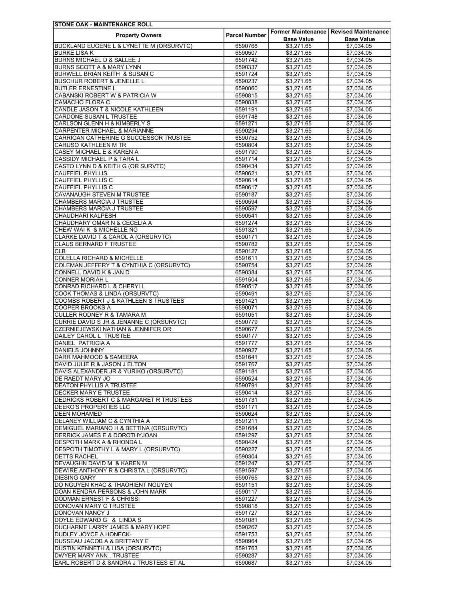| <b>ISTONE OAK - MAINTENANCE ROLL</b>                |                      |                   |                                                 |
|-----------------------------------------------------|----------------------|-------------------|-------------------------------------------------|
| <b>Property Owners</b>                              | <b>Parcel Number</b> |                   | <b>Former Maintenance   Revised Maintenance</b> |
|                                                     |                      | <b>Base Value</b> | <b>Base Value</b>                               |
| <b>BUCKLAND EUGENE L &amp; LYNETTE M (ORSURVTC)</b> | 6590768              | \$3,271.65        | \$7,034.05                                      |
| <b>BURKE LISA K</b>                                 | 6590507              | \$3,271.65        | \$7,034.05                                      |
| <b>BURNS MICHAEL D &amp; SALLEE J</b>               | 6591742              | \$3,271.65        | \$7.034.05                                      |
| BURNS SCOTT A & MARY LYNN                           | 6590337              | \$3,271.65        | \$7,034.05                                      |
| BURWELL BRIAN KEITH & SUSAN C                       | 6591724              | \$3,271.65        | \$7,034.05                                      |
| <b>BUSCHUR ROBERT &amp; JENELLE L</b>               | 6590237              | \$3,271.65        | \$7,034.05                                      |
| <b>BUTLER ERNESTINE L</b>                           | 6590860              | \$3,271.65        | \$7,034.05                                      |
| CABANSKI ROBERT W & PATRICIA W                      | 6590815              | \$3,271.65        | \$7,034.05                                      |
| CAMACHO FLORA C                                     |                      | \$3,271.65        | \$7,034.05                                      |
|                                                     | 6590838              |                   |                                                 |
| CANDLE JASON T & NICOLE KATHLEEN                    | 6591191              | \$3,271.65        | \$7,034.05                                      |
| CARDONE SUSAN L TRUSTEE                             | 6591748              | \$3,271.65        | \$7,034.05                                      |
| CARLSON GLENN H & KIMBERLY S                        | 6591271              | \$3,271.65        | \$7,034.05                                      |
| <b>CARPENTER MICHAEL &amp; MARIANNE</b>             | 6590294              | \$3,271.65        | \$7,034.05                                      |
| CARRIGAN CATHERINE G SUCCESSOR TRUSTEE              | 6590752              | \$3,271.65        | \$7,034.05                                      |
| <b>CARUSO KATHLEEN M TR</b>                         | 6590804              | \$3,271.65        | \$7,034.05                                      |
| CASEY MICHAEL E & KAREN A                           | 6591790              | \$3,271.65        | \$7,034.05                                      |
| CASSIDY MICHAEL P & TARA L                          | 6591714              | \$3,271.65        | \$7,034.05                                      |
| CASTO LYNN D & KEITH G (OR SURVTC)                  | 6590434              | \$3,271.65        | \$7,034.05                                      |
| <b>CAUFFIEL PHYLLIS</b>                             | 6590621              | \$3,271.65        | \$7,034.05                                      |
| <b>CAUFFIEL PHYLLIS C</b>                           | 6590614              | \$3.271.65        | \$7,034.05                                      |
| <b>CAUFFIEL PHYLLIS C</b>                           | 6590617              | \$3,271.65        | \$7,034.05                                      |
| <b>CAVANAUGH STEVEN M TRUSTEE</b>                   |                      |                   |                                                 |
|                                                     | 6590187              | \$3,271.65        | \$7,034.05                                      |
| <b>CHAMBERS MARCIA J TRUSTEE</b>                    | 6590594              | \$3,271.65        | \$7,034.05                                      |
| <b>CHAMBERS MARCIA J TRUSTEE</b>                    | 6590597              | \$3,271.65        | \$7,034.05                                      |
| <b>CHAUDHARI KALPESH</b>                            | 6590541              | \$3,271.65        | \$7,034.05                                      |
| CHAUDHARY OMAR N & CECELIA A                        | 6591274              | \$3,271.65        | \$7,034.05                                      |
| CHEW WAI K & MICHELLE NG                            | 6591321              | \$3,271.65        | \$7,034.05                                      |
| CLARKE DAVID T & CAROL A (ORSURVTC)                 | 6590171              | \$3,271.65        | \$7.034.05                                      |
| <b>CLAUS BERNARD F TRUSTEE</b>                      | 6590782              | \$3,271.65        | \$7,034.05                                      |
| <b>CLB</b>                                          | 6590127              | \$3,271.65        | \$7,034.05                                      |
| <b>COLELLA RICHARD &amp; MICHELLE</b>               | 6591611              | \$3,271.65        | \$7,034.05                                      |
| COLEMAN JEFFERY T & CYNTHIA C (ORSURVTC)            | 6590754              | \$3,271.65        | \$7,034.05                                      |
|                                                     |                      |                   |                                                 |
| CONNELL DAVID K & JAN D                             | 6590384              | \$3,271.65        | \$7,034.05                                      |
| <b>CONNER MORIAH L</b>                              | 6591504              | \$3,271.65        | \$7,034.05                                      |
| CONRAD RICHARD L & CHERYLL                          | 6590517              | \$3,271.65        | \$7,034.05                                      |
| <b>COOK THOMAS &amp; LINDA (ORSURVTC)</b>           | 6590491              | \$3,271.65        | \$7,034.05                                      |
| COOMBS ROBERT J & KATHLEEN S TRUSTEES               | 6591421              | \$3,271.65        | \$7,034.05                                      |
| <b>COOPER BROOKS A</b>                              | 6590071              | \$3,271.65        | \$7,034.05                                      |
| <b>CULLER RODNEY R &amp; TAMARA M</b>               | 6591051              | \$3,271.65        | \$7,034.05                                      |
| CURRIE DAVID S JR & JENANNE C (ORSURVTC)            | 6590779              | \$3,271.65        | \$7,034.05                                      |
| <b>CZERNIEJEWSKI NATHAN &amp; JENNIFER OR</b>       | 6590677              | \$3,271.65        | \$7.034.05                                      |
| DAILEY CAROL L TRUSTEE                              | 6590177              | \$3,271.65        | \$7,034.05                                      |
| <b>DANIEL PATRICIA A</b>                            | 6591777              | \$3,271.65        | \$7,034.05                                      |
| <b>DANIELS JOHNNY</b>                               | 6590927              | \$3.271.65        | \$7,034.05                                      |
| DARR MAHMOOD & SAMEERA                              | 6591641              | \$3,271.65        | \$7,034.05                                      |
|                                                     |                      |                   |                                                 |
| DAVID JULIE R & JASON J ELTON                       | 6591767              | \$3,271.65        | \$7,034.05                                      |
| DAVIS ALEXANDER JR & YURIKO (ORSURVTC)              | 6591181              | \$3,271.65        | \$7,034.05                                      |
| DE RAEDT MARY JO                                    | 6590524              | \$3,271.65        | \$7,034.05                                      |
| <b>DEATON PHYLLIS A TRUSTEE</b>                     | 6590791              | \$3,271.65        | \$7,034.05                                      |
| <b>DECKER MARY E TRUSTEE</b>                        | 6590414              | \$3,271.65        | \$7,034.05                                      |
| <b>DEDRICKS ROBERT C &amp; MARGARET R TRUSTEES</b>  | 6591731              | \$3,271.65        | \$7,034.05                                      |
| <b>DEEKO'S PROPERTIES LLC</b>                       | 6591171              | \$3,271.65        | \$7,034.05                                      |
| <b>DEEN MOHAMED</b>                                 | 6590624              | \$3,271.65        | \$7,034.05                                      |
| <b>DELANEY WILLIAM C &amp; CYNTHIA A</b>            | 6591211              | \$3,271.65        | \$7,034.05                                      |
| DEMIGUEL MARIANO H & BETTINA (ORSURVTC)             | 6591684              | \$3,271.65        | \$7,034.05                                      |
| <b>DERRICK JAMES E &amp; DOROTHYJOAN</b>            | 6591297              | \$3,271.65        | \$7,034.05                                      |
| DESPOTH MARK A & RHONDA L                           |                      | \$3,271.65        | \$7.034.05                                      |
|                                                     | 6590424              |                   |                                                 |
| <b>DESPOTH TIMOTHY L &amp; MARY L (ORSURVTC)</b>    | 6590227              | \$3,271.65        | \$7,034.05                                      |
| <b>DETTS RACHEL</b>                                 | 6590304              | \$3,271.65        | \$7,034.05                                      |
| DEVAUGHN DAVID M & KAREN M                          | 6591247              | \$3,271.65        | \$7,034.05                                      |
| DEWIRE ANTHONY R & CHRISTA L (ORSURVTC)             | 6591597              | \$3,271.65        | \$7,034.05                                      |
| <b>DIESING GARY</b>                                 | 6590765              | \$3,271.65        | \$7,034.05                                      |
| DO NGUYEN KHAC & THAOHIENT NGUYEN                   | 6591151              | \$3,271.65        | \$7,034.05                                      |
| DOAN KENDRA PERSONS & JOHN MARK                     | 6590117              | \$3,271.65        | \$7,034.05                                      |
| <b>DODMAN ERNEST F &amp; CHRISSI</b>                | 6591227              | \$3,271.65        | \$7,034.05                                      |
| DONOVAN MARY C TRUSTEE                              | 6590818              | \$3,271.65        | \$7,034.05                                      |
| DONOVAN NANCY J                                     | 6591727              | \$3,271.65        | \$7,034.05                                      |
| DOYLE EDWARD G & LINDA S                            | 6591081              | \$3,271.65        | \$7,034.05                                      |
|                                                     |                      |                   |                                                 |
| <b>DUCHARME LARRY JAMES &amp; MARY HOPE</b>         | 6590267              | \$3,271.65        | \$7,034.05                                      |
| DUDLEY JOYCE A HONECK-                              | 6591753              | \$3,271.65        | \$7,034.05                                      |
| <b>DUSSEAU JACOB A &amp; BRITTANY E</b>             | 6590964              | \$3,271.65        | \$7,034.05                                      |
| <b>DUSTIN KENNETH &amp; LISA (ORSURVTC)</b>         | 6591763              | \$3,271.65        | \$7,034.05                                      |
| DWYER MARY ANN, TRUSTEE                             | 6590287              | \$3,271.65        | \$7,034.05                                      |
| EARL ROBERT D & SANDRA J TRUSTEES ET AL             | 6590687              | \$3,271.65        | \$7,034.05                                      |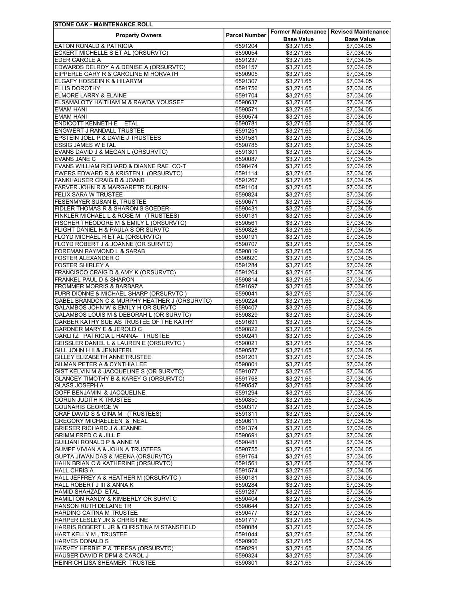| <b>STONE OAK - MAINTENANCE ROLL</b>           |                      |                   |                                          |
|-----------------------------------------------|----------------------|-------------------|------------------------------------------|
| <b>Property Owners</b>                        | <b>Parcel Number</b> |                   | Former Maintenance   Revised Maintenance |
|                                               |                      | <b>Base Value</b> | <b>Base Value</b>                        |
| <b>EATON RONALD &amp; PATRICIA</b>            | 6591204              | \$3,271.65        | \$7,034.05                               |
| ECKERT MICHELLE S ET AL (ORSURVTC)            | 6590054              | \$3,271.65        | \$7,034.05                               |
| EDER CAROLE A                                 | 6591237              | \$3,271.65        | \$7.034.05                               |
| EDWARDS DELROY A & DENISE A (ORSURVTC)        | 6591157              | \$3,271.65        | \$7,034.05                               |
| EIPPERLE GARY R & CAROLINE M HORVATH          | 6590905              | \$3,271.65        | \$7,034.05                               |
| ELGAFY HOSSEIN K & HILARYM                    | 6591307              | \$3,271.65        | \$7,034.05                               |
| <b>ELLIS DOROTHY</b>                          | 6591756              | \$3,271.65        | \$7,034.05                               |
| ELMORE LARRY & ELAINE                         | 6591704              | \$3,271.65        | \$7,034.05                               |
| ELSAMALOTY HAITHAM M & RAWDA YOUSSEF          | 6590637              | \$3,271.65        | \$7,034.05                               |
| <b>EMAM HANI</b>                              | 6590571              | \$3,271.65        | \$7,034.05                               |
| <b>EMAM HANI</b>                              | 6590574              | \$3,271.65        | \$7,034.05                               |
| ENDICOTT KENNETH E ETAL                       | 6590781              | \$3,271.65        | \$7.034.05                               |
| ENGWERT J RANDALL TRUSTEE                     | 6591251              | \$3,271.65        | \$7,034.05                               |
| EPSTEIN JOEL P & DAVIE J TRUSTEES             | 6591581              | \$3,271.65        | \$7,034.05                               |
| <b>ESSIG JAMES W ETAL</b>                     | 6590785              | \$3,271.65        | \$7,034.05                               |
| EVANS DAVID J & MEGAN L (ORSURVTC)            | 6591301              | \$3,271.65        | \$7.034.05                               |
| <b>EVANS JANE C</b>                           | 6590087              | \$3,271.65        | \$7,034.05                               |
| EVANS WILLIAM RICHARD & DIANNE RAE CO-T       | 6590474              | \$3,271.65        | \$7,034.05                               |
| EWERS EDWARD R & KRISTEN L (ORSURVTC)         | 6591114              | \$3,271.65        | \$7,034.05                               |
| <b>FANKHAUSER CRAIG B &amp; JOANB</b>         | 6591267              | \$3,271.65        | \$7.034.05                               |
| <b>FARVER JOHN R &amp; MARGARETR DURKIN-</b>  | 6591104              | \$3,271.65        | \$7,034.05                               |
| FELIX SARA W TRUSTEE                          | 6590824              | \$3,271.65        | \$7,034.05                               |
| FESENMYER SUSAN B, TRUSTEE                    | 6590671              | \$3,271.65        | \$7.034.05                               |
| FIDLER THOMAS R & SHARON S SOEDER-            | 6590431              | \$3,271.65        | \$7.034.05                               |
| FINKLER MICHAEL L & ROSE M (TRUSTEES)         | 6590131              | \$3,271.65        | \$7,034.05                               |
| FISCHER THEODORE M & EMILY L (ORSURVTC)       | 6590561              | \$3,271.65        | \$7,034.05                               |
| FLIGHT DANIEL H & PAULA S OR SURVTC           | 6590828              | \$3,271.65        | \$7.034.05                               |
| FLOYD MICHAEL R ET AL (ORSURVTC)              | 6590191              | \$3,271.65        | \$7,034.05                               |
| FLOYD ROBERT J & JOANNE (OR SURVTC)           | 6590707              | \$3,271.65        | \$7,034.05                               |
| FOREMAN RAYMOND L & SARAB                     | 6590819              | \$3,271.65        | \$7,034.05                               |
| FOSTER ALEXANDER C                            | 6590920              | \$3,271.65        | \$7,034.05                               |
| <b>FOSTER SHIRLEY A</b>                       | 6591284              | \$3,271.65        | \$7,034.05                               |
|                                               | 6591264              |                   |                                          |
| FRANCISCO CRAIG D & AMY K (ORSURVTC)          |                      | \$3,271.65        | \$7,034.05                               |
| FRANKEL PAUL D & SHARON                       | 6590814              | \$3,271.65        | \$7,034.05                               |
| <b>FROMMER MORRIS &amp; BARBARA</b>           | 6591697              | \$3,271.65        | \$7,034.05                               |
| FURR DIONNE & MICHAEL SHARP (ORSURVTC)        | 6590041              | \$3,271.65        | \$7,034.05                               |
| GABEL BRANDON C & MURPHY HEATHER J (ORSURVTC) | 6590224              | \$3,271.65        | \$7,034.05                               |
| GALAMBOS JOHN W & EMILY H OR SURVTC           | 6590407              | \$3,271.65        | \$7,034.05                               |
| GALAMBOS LOUIS M & DEBORAH L (OR SURVTC)      | 6590829              | \$3,271.65        | \$7,034.05                               |
| GARBER KATHY SUE AS TRUSTEE OF THE KATHY      | 6591691              | \$3,271.65        | \$7,034.05                               |
| GARDNER MARY E & JEROLD C                     | 6590822              | \$3,271.65        | \$7,034.05                               |
| GARLITZ PATRICIA L HANNA- TRUSTEE             | 6590241              | \$3,271.65        | \$7,034.05                               |
| GEISSLER DANIEL L & LAUREN E (ORSURVTC)       | 6590021              | \$3,271.65        | \$7,034.05                               |
| <b>GILL JOHN H II &amp; JENNIFERL</b>         | 6590587              | \$3.271.65        | \$7,034.05                               |
| GILLEY ELIZABETH ANNETRUSTEE                  | 6591201              | \$3,271.65        | \$7,034.05                               |
| GILMAN PETER A & CYNTHIA LEE                  | 6590801              | \$3,271.65        | \$7,034.05                               |
| GIST KELVIN M & JACQUELINE S (OR SURVTC)      | 6591077              | \$3,271.65        | \$7,034.05                               |
| GLANCEY TIMOTHY B & KAREY G (ORSURVTC)        | 6591768              | \$3,271.65        | \$7,034.05                               |
| <b>GLASS JOSEPH A</b>                         | 6590547              | \$3,271.65        | \$7,034.05                               |
| GOFF BENJAMIN & JACQUELINE                    | 6591294              | \$3,271.65        | \$7,034.05                               |
| <b>GORUN JUDITH K TRUSTEE</b>                 | 6590850              | \$3,271.65        | \$7,034.05                               |
| <b>GOUNARIS GEORGE W</b>                      | 6590317              | \$3,271.65        | \$7.034.05                               |
| GRAF DAVID S & GINA M (TRUSTEES)              | 6591311              | \$3,271.65        | \$7,034.05                               |
| GREGORY MICHAELEEN & NEAL                     | 6590611              | \$3,271.65        | \$7,034.05                               |
| <b>GRIESER RICHARD J &amp; JEANNE</b>         | 6591374              | \$3,271.65        | \$7,034.05                               |
| <b>GRIMM FRED C &amp; JILL E</b>              | 6590691              | \$3,271.65        | \$7,034.05                               |
| <b>GUILIANI RONALD P &amp; ANNE M</b>         | 6590481              | \$3,271.65        | \$7,034.05                               |
| GUMPF VIVIAN A & JOHN A TRUSTEES              | 6590755              | \$3,271.65        | \$7,034.05                               |
| GUPTA JIWAN DAS & MEENA (ORSURVTC)            | 6591764              | \$3,271.65        | \$7,034.05                               |
| HAHN BRIAN C & KATHERINE (ORSURVTC)           | 6591561              | \$3,271.65        | \$7,034.05                               |
| <b>HALL CHRIS A</b>                           | 6591574              | \$3,271.65        | \$7,034.05                               |
| HALL JEFFREY A & HEATHER M (ORSURVTC)         | 6590181              | \$3,271.65        | \$7,034.05                               |
| HALL ROBERT J III & ANNA K                    | 6590284              | \$3,271.65        | \$7,034.05                               |
| <b>HAMID SHAHZAD ETAL</b>                     | 6591287              | \$3,271.65        | \$7,034.05                               |
| HAMILTON RANDY & KIMBERLY OR SURVTC           | 6590404              | \$3,271.65        | \$7,034.05                               |
| HANSON RUTH DELAINE TR                        | 6590644              | \$3,271.65        | \$7,034.05                               |
| HARDING CATINA M TRUSTEE                      | 6590477              | \$3,271.65        | \$7,034.05                               |
| HARPER LESLEY JR & CHRISTINE                  | 6591717              | \$3,271.65        | \$7,034.05                               |
| HARRIS ROBERT L JR & CHRISTINA M STANSFIELD   | 6590084              | \$3,271.65        | \$7,034.05                               |
| HART KELLY M, TRUSTEE                         | 6591044              | \$3,271.65        | \$7,034.05                               |
| <b>HARVES DONALD S</b>                        | 6590906              | \$3,271.65        | \$7,034.05                               |
| HARVEY HERBIE P & TERESA (ORSURVTC)           | 6590291              | \$3,271.65        | \$7,034.05                               |
| HAUSER DAVID R DPM & CAROL J                  | 6590324              | \$3,271.65        | \$7,034.05                               |
| HEINRICH LISA SHEAMER TRUSTEE                 | 6590301              | \$3,271.65        | \$7,034.05                               |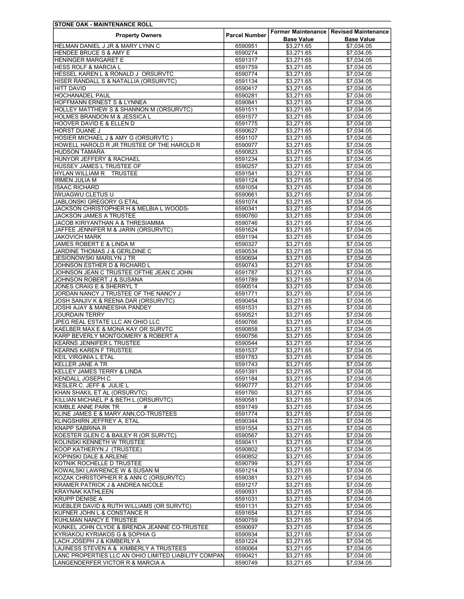| <b>STONE OAK - MAINTENANCE ROLL</b>                  |                      |                   |                                          |
|------------------------------------------------------|----------------------|-------------------|------------------------------------------|
| <b>Property Owners</b>                               | <b>Parcel Number</b> |                   | Former Maintenance   Revised Maintenance |
|                                                      |                      | <b>Base Value</b> | <b>Base Value</b>                        |
| HELMAN DANIEL J JR & MARY LYNN C                     | 6590951              | \$3,271.65        | \$7,034.05                               |
| <b>HENDEE BRUCE S &amp; AMY E</b>                    | 6590274              | \$3,271.65        | \$7,034.05                               |
| <b>HENINGER MARGARET E</b>                           | 6591317              | \$3,271.65        | \$7.034.05                               |
| <b>HESS ROLF &amp; MARCIA L</b>                      | 6591759              | \$3,271.65        | \$7,034.05                               |
| HESSEL KAREN L & RONALD J ORSURVTC                   | 6590774              | \$3,271.65        | \$7,034.05                               |
| HISER RANDALL S & NATALLIA (ORSURVTC)                | 6591134              | \$3,271.65        | \$7,034.05                               |
| <b>HITT DAVID</b>                                    | 6590417              | \$3,271.65        | \$7,034.05                               |
| <b>HOCHANADEL PAUL</b>                               | 6590281              | \$3,271.65        | \$7,034.05                               |
| HOFFMANN ERNEST S & LYNNEA                           | 6590841              | \$3,271.65        | \$7,034.05                               |
| HOLLEY MATTHEW S & SHANNON M (ORSURVTC)              | 6591511              | \$3,271.65        | \$7,034.05                               |
| <b>HOLMES BRANDON M &amp; JESSICA L</b>              | 6591577              | \$3,271.65        | \$7,034.05                               |
| HOOVER DAVID E & ELLEN D                             | 6591775              | \$3.271.65        | \$7.034.05                               |
| HORST DUANE J                                        | 6590627              | \$3,271.65        | \$7,034.05                               |
| HOSIER MICHAEL J & AMY G (ORSURVTC)                  | 6591107              | \$3,271.65        | \$7,034.05                               |
| HOWELL HAROLD R JR TRUSTEE OF THE HAROLD R           | 6590977              | \$3,271.65        | \$7,034.05                               |
| <b>HUDSON TAMARA</b>                                 | 6590823              | \$3,271.65        | \$7.034.05                               |
| HUNYOR JEFFERY & RACHAEL                             | 6591234              | \$3,271.65        | \$7,034.05                               |
| <b>HUSSEY JAMES L TRUSTEE OF</b>                     | 6590257              | \$3,271.65        | \$7,034.05                               |
| <b>HYLAN WILLIAM R TRUSTEE</b>                       | 6591541              | \$3,271.65        | \$7,034.05                               |
| <b>IRMEN JULIA M</b>                                 | 6591124              | \$3,271.65        | \$7,034.05                               |
| <b>ISAAC RICHARD</b>                                 | 6591054              | \$3,271.65        | \$7,034.05                               |
|                                                      |                      |                   | \$7,034.05                               |
| <b>IWUAGWU CLETUS U</b>                              | 6590661              | \$3,271.65        |                                          |
| <b>JABLONSKI GREGORY G ETAL</b>                      | 6591074              | \$3,271.65        | \$7.034.05                               |
| JACKSON CHRISTOPHER H & MELBIA L WOODS-              | 6590341              | \$3,271.65        | \$7,034.05                               |
| <b>JACKSON JAMES A TRUSTEE</b>                       | 6590760              | \$3.271.65        | \$7,034.05                               |
| <b>JACOB KIRIYANTHAN A &amp; THRESIAMMA</b>          | 6590746              | \$3,271.65        | \$7,034.05                               |
| JAFFEE JENNIFER M & JARIN (ORSURVTC)                 | 6591624              | \$3,271.65        | \$7.034.05                               |
| <b>JAKOVICH MARK</b>                                 | 6591194              | \$3,271.65        | \$7,034.05                               |
| JAMES ROBERT E & LINDA M                             | 6590327              | \$3,271.65        | \$7,034.05                               |
| JARDINE THOMAS J & GERLDINE C                        | 6590534              | \$3,271.65        | \$7,034.05                               |
| <b>JESIONOWSKI MARILYN J TR</b>                      | 6590694              | \$3,271.65        | \$7,034.05                               |
| JOHNSON ESTHER D & RICHARD L                         | 6590743              | \$3,271.65        | \$7,034.05                               |
| JOHNSON JEAN C TRUSTEE OFTHE JEAN C JOHN             | 6591787              | \$3,271.65        | \$7,034.05                               |
| JOHNSON ROBERT J & SUSANA                            | 6591789              | \$3,271.65        | \$7,034.05                               |
| JONES CRAIG E & SHERRYL T                            | 6590514              | \$3,271.65        | \$7,034.05                               |
| JORDAN NANCY J TRUSTEE OF THE NANCY J                | 6591771              | \$3,271.65        | \$7,034.05                               |
| JOSH SANJIV K & REENA DAR (ORSURVTC)                 | 6590454              | \$3,271.65        | \$7,034.05                               |
| JOSHI AJAY & MANEESHA PANDEY                         | 6591531              | \$3,271.65        | \$7,034.05                               |
| <b>JOURDAIN TERRY</b>                                |                      |                   |                                          |
|                                                      | 6590521              | \$3,271.65        | \$7,034.05                               |
| JPEG REAL ESTATE LLC AN OHIO LLC                     | 6590766              | \$3,271.65        | \$7,034.05                               |
| KAELBER MAX E & MONA KAY OR SURVTC                   | 6590858              | \$3,271.65        | \$7,034.05                               |
| KARP BEVERLY MONTGOMERY & ROBERT A                   | 6590756              | \$3,271.65        | \$7,034.05                               |
| <b>KEARNS JENNIFER L TRUSTEE</b>                     | 6590544              | \$3,271.65        | \$7,034.05                               |
| <b>KEARNS KAREN F TRUSTEE</b>                        | 6591537              | \$3,271.65        | \$7,034.05                               |
| <b>KEIL VIRGINIA L ETAL</b>                          | 6591783              | \$3,271.65        | \$7,034.05                               |
| KELLER JANE A TR                                     | 6591743              | \$3,271.65        | \$7,034.05                               |
| <b>KELLEY JAMES TERRY &amp; LINDA</b>                | 6591391              | \$3,271.65        | \$7,034.05                               |
| KENDALL JOSEPH C                                     | 6591184              | \$3,271.65        | \$7,034.05                               |
| KESLER C. JEFF & JULIE L                             | 6590777              | \$3,271.65        | \$7,034.05                               |
| KHAN SHAKIL ET AL (ORSURVTC)                         | 6591760              | \$3,271.65        | \$7,034.05                               |
| KILLIAN MICHAEL P & BETH L (ORSURVTC)                | 6590581              | \$3,271.65        | \$7,034.05                               |
| KIMBLE ANNE PARK TR<br>#                             | 6591749              | \$3,271.65        | \$7,034.05                               |
| KLINE JAMES E & MARY ANN, CO-TRUSTEES                | 6591774              | \$3,271.65        | \$7,034.05                               |
| KLINGSHIRN JEFFREY A, ETAL                           | 6590344              | \$3,271.65        | \$7,034.05                               |
| KNAPP SABRINA R                                      | 6591554              | \$3,271.65        | \$7,034.05                               |
| KOESTER GLEN C & BAILEY R (OR SURVTC)                | 6590567              | \$3,271.65        | \$7,034.05                               |
| KOLINSKI KENNETH W TRUSTEE                           |                      |                   |                                          |
|                                                      | 6590411              | \$3,271.65        | \$7,034.05                               |
| KOOP KATHERYN J (TRUSTEE)                            | 6590802              | \$3,271.65        | \$7,034.05                               |
| KOPINSKI DALE & ARLENE                               | 6590852              | \$3,271.65        | \$7,034.05                               |
| KOTNIK ROCHELLE D TRUSTEE                            | 6590799              | \$3,271.65        | \$7,034.05                               |
| KOWALSKI LAWRENCE W & SUSAN M                        | 6591214              | \$3,271.65        | \$7,034.05                               |
| KOZAK CHRISTOPHER R & ANN C (ORSURVTC)               | 6590381              | \$3,271.65        | \$7,034.05                               |
| KRAMER PATRICK J & ANDREA NICOLE                     | 6591217              | \$3,271.65        | \$7,034.05                               |
| <b>KRAYNAK KATHLEEN</b>                              | 6590931              | \$3,271.65        | \$7,034.05                               |
| <b>KRUPP DENISE A</b>                                | 6591031              | \$3,271.65        | \$7,034.05                               |
| KUEBLER DAVID & RUTH WILLIAMS (OR SURVTC)            | 6591131              | \$3,271.65        | \$7,034.05                               |
| KUFNER JOHN L & CONSTANCE R                          | 6591654              | \$3,271.65        | \$7,034.05                               |
| KUHLMAN NANCY E TRUSTEE                              | 6590759              | \$3,271.65        | \$7,034.05                               |
| KUNKEL JOHN CLYDE & BRENDA JEANNE CO-TRUSTEE         | 6590697              | \$3,271.65        | \$7,034.05                               |
| KYRIAKOU KYRIAKOS G & SOPHIA G                       | 6590934              | \$3,271.65        | \$7,034.05                               |
| LACH JOSEPH J & KIMBERLY A                           | 6591224              | \$3,271.65        | \$7,034.05                               |
|                                                      |                      |                   |                                          |
| LAJINESS STEVEN A & KIMBERLY A TRUSTEES              | 6590064              | \$3,271.65        | \$7,034.05                               |
| LANC PROPERTIES LLC AN OHIO LIMITED LIABILITY COMPAN | 6590421              | \$3,271.65        | \$7,034.05                               |
| LANGENDERFER VICTOR R & MARCIA A                     | 6590749              | \$3,271.65        | \$7,034.05                               |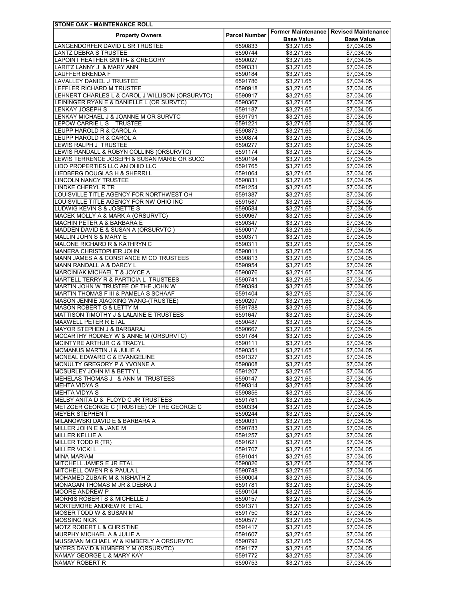| <b>STONE OAK - MAINTENANCE ROLL</b>                                    |                      |                   |                                          |
|------------------------------------------------------------------------|----------------------|-------------------|------------------------------------------|
| <b>Property Owners</b>                                                 | <b>Parcel Number</b> |                   | Former Maintenance   Revised Maintenance |
|                                                                        |                      | <b>Base Value</b> | <b>Base Value</b>                        |
| LANGENDORFER DAVID L SR TRUSTEE                                        | 6590833              | \$3,271.65        | \$7,034.05                               |
| <b>LANTZ DEBRA S TRUSTEE</b>                                           | 6590744              | \$3,271.65        | \$7,034.05                               |
| <b>LAPOINT HEATHER SMITH- &amp; GREGORY</b>                            | 6590027              | \$3,271.65        | \$7.034.05                               |
| LARITZ LANNY J & MARY ANN                                              | 6590331              | \$3,271.65        | \$7,034.05                               |
| <b>LAUFFER BRENDA F</b>                                                | 6590184              | \$3,271.65        | \$7,034.05                               |
| LAVALLEY DANIEL J TRUSTEE                                              | 6591786              | \$3,271.65        | \$7,034.05                               |
| LEFFLER RICHARD M TRUSTEE                                              | 6590918              | \$3,271.65        | \$7,034.05                               |
| LEHNERT CHARLES L & CAROL J WILLISON (ORSURVTC)                        | 6590917              | \$3,271.65        | \$7,034.05                               |
| LEININGER RYAN E & DANIELLE L (OR SURVTC)                              | 6590367              | \$3,271.65        | \$7,034.05                               |
| <b>LENKAY JOSEPH S</b>                                                 | 6591187              | \$3,271.65        | \$7,034.05                               |
| LENKAY MICHAEL J & JOANNE M OR SURVTC                                  | 6591791              | \$3,271.65        | \$7.034.05                               |
| LEPOW CARRIE L S TRUSTEE                                               | 6591221              | \$3,271.65        | \$7,034.05                               |
| LEUPP HAROLD R & CAROL A                                               | 6590873              | \$3,271.65        | \$7,034.05                               |
| LEUPP HAROLD R & CAROL A                                               | 6590874              | \$3,271.65        | \$7,034.05                               |
| LEWIS RALPH J TRUSTEE                                                  | 6590277              | \$3,271.65        | \$7,034.05                               |
| LEWIS RANDALL & ROBYN COLLINS (ORSURVTC)                               | 6591174              | \$3,271.65        | \$7,034.05                               |
| LEWIS TERRENCE JOSEPH & SUSAN MARIE OR SUCC                            | 6590194              | \$3,271.65        | \$7,034.05                               |
| LIDO PROPERTIES LLC AN OHIO LLC                                        | 6591765              | \$3,271.65        | \$7,034.05                               |
| LIEDBERG DOUGLAS H & SHERRI L                                          | 6591064              | \$3.271.65        | \$7,034.05                               |
| <b>LINCOLN NANCY TRUSTEE</b>                                           | 6590831              | \$3,271.65        | \$7,034.05                               |
| <b>LINDKE CHERYL R TR</b>                                              | 6591254              | \$3,271.65        | \$7,034.05                               |
| LOUISVILLE TITLE AGENCY FOR NORTHWEST OH                               | 6591387              | \$3,271.65        | \$7,034.05                               |
| LOUISVILLE TITLE AGENCY FOR NW OHIO INC                                | 6591587              | \$3,271.65        | \$7,034.05                               |
| LUDWIG KEVIN S & JOSETTE S                                             | 6590584              | \$3,271.65        | \$7.034.05                               |
| MACEK MOLLY A & MARK A (ORSURVTC)                                      | 6590967              | \$3.271.65        | \$7,034.05                               |
| MACHIN PETER A & BARBARA E                                             | 6590347              | \$3,271.65        | \$7,034.05                               |
| MADDEN DAVID E & SUSAN A (ORSURVTC)                                    | 6590017              | \$3,271.65        | \$7,034.05                               |
| MALLIN JOHN S & MARY E                                                 | 6590371              | \$3,271.65        | \$7,034.05                               |
| MALONE RICHARD R & KATHRYN C                                           | 6590311              | \$3,271.65        | \$7,034.05                               |
| MANERA CHRISTOPHER JOHN                                                | 6590011              | \$3,271.65        | \$7,034.05                               |
| MANN JAMES A & CONSTANCE M CO TRUSTEES                                 | 6590813              | \$3,271.65        | \$7,034.05                               |
| <b>MANN RANDALL A &amp; DARCY L</b>                                    | 6590954              | \$3,271.65        | \$7,034.05                               |
|                                                                        |                      |                   |                                          |
| MARCINIAK MICHAEL T & JOYCE A<br>MARTELL TERRY R & PARTICIA L TRUSTEES | 6590876              | \$3,271.65        | \$7,034.05                               |
|                                                                        | 6590741              | \$3,271.65        | \$7,034.05                               |
| MARTIN JOHN W TRUSTEE OF THE JOHN W                                    | 6590394              | \$3,271.65        | \$7,034.05                               |
| MARTIN THOMAS F III & PAMELA S SCHAAF                                  | 6591404              | \$3,271.65        | \$7,034.05                               |
| MASON JENNIE XIAOXING WANG-(TRUSTEE)                                   | 6590207              | \$3,271.65        | \$7,034.05                               |
| <b>MASON ROBERT G &amp; LETTY M</b>                                    | 6591788              | \$3,271.65        | \$7,034.05                               |
| MATTISON TIMOTHY J & LALAINE E TRUSTEES                                | 6591647              | \$3,271.65        | \$7,034.05                               |
| MAXWELL PETER R ETAL                                                   | 6590487              | \$3,271.65        | \$7,034.05                               |
| <b>MAYOR STEPHEN J &amp; BARBARAJ</b>                                  | 6590667              | \$3,271.65        | \$7,034.05                               |
| MCCARTHY RODNEY W & ANNE M (ORSURVTC)                                  | 6591784              | \$3,271.65        | \$7,034.05                               |
| <b>MCINTYRE ARTHUR C &amp; TRACYL</b>                                  | 6590111              | \$3,271.65        | \$7,034.05                               |
| MCMANUS MARTIN J & JULIE A                                             | 6590351              | \$3,271.65        | \$7,034.05                               |
| MCNEAL EDWARD C & EVANGELINE                                           | 6591327              | \$3,271.65        | \$7,034.05                               |
| MCNULTY GREGORY P & YVONNE A                                           | 6590808              | \$3,271.65        | \$7,034.05                               |
| MCSURLEY JOHN M & BETTY L                                              | 6591207              | \$3,271.65        | \$7,034.05                               |
| MEHELAS THOMAS J & ANN M TRUSTEES                                      | 6590147              | \$3,271.65        | \$7,034.05                               |
| MEHTA VIDYA S                                                          | 6590314              | \$3,271.65        | \$7,034.05                               |
| MEHTA VIDYA S                                                          | 6590856              | \$3,271.65        | \$7,034.05                               |
| MELBY ANITA D & FLOYD C JR TRUSTEES                                    | 6591761              | \$3,271.65        | \$7,034.05                               |
| METZGER GEORGE C (TRUSTEE) OF THE GEORGE C                             | 6590334              | \$3,271.65        | \$7.034.05                               |
| <b>MEYER STEPHEN T</b>                                                 | 6590244              | \$3,271.65        | \$7,034.05                               |
| MILANOWSKI DAVID E & BARBARA A                                         | 6590031              | \$3,271.65        | \$7,034.05                               |
| MILLER JOHN E & JANE M                                                 | 6590783              | \$3,271.65        | \$7,034.05                               |
| <b>MILLER KELLIE A</b>                                                 | 6591257              | \$3,271.65        | \$7,034.05                               |
| MILLER TODD R (TR)                                                     | 6591621              | \$3,271.65        | \$7,034.05                               |
| <b>MILLER VICKI L</b>                                                  | 6591707              | \$3,271.65        | \$7,034.05                               |
| <b>MINA MARIAM</b>                                                     | 6591041              | \$3,271.65        | \$7,034.05                               |
| MITCHELL JAMES E JR ETAL                                               | 6590826              | \$3,271.65        | \$7,034.05                               |
| <b>MITCHELL OWEN R &amp; PAULA L</b>                                   | 6590748              | \$3,271.65        | \$7,034.05                               |
| MOHAMED ZUBAIR M & NISHATH Z                                           | 6590004              | \$3,271.65        | \$7,034.05                               |
| MONAGAN THOMAS M JR & DEBRA J                                          | 6591781              | \$3,271.65        | \$7,034.05                               |
| <b>MOORE ANDREW P</b>                                                  | 6590104              | \$3,271.65        | \$7,034.05                               |
| <b>MORRIS ROBERT S &amp; MICHELLE J</b>                                | 6590157              | \$3,271.65        | \$7,034.05                               |
| MORTEMORE ANDREW R ETAL                                                | 6591371              | \$3,271.65        | \$7,034.05                               |
| MOSER TODD W & SUSAN M                                                 | 6591750              | \$3,271.65        | \$7,034.05                               |
| <b>MOSSING NICK</b>                                                    | 6590577              | \$3,271.65        | \$7,034.05                               |
| MOTZ ROBERT L & CHRISTINE                                              | 6591417              | \$3,271.65        | \$7,034.05                               |
| MURPHY MICHAEL A & JULIE A                                             | 6591607              | \$3,271.65        | \$7,034.05                               |
| MUSSMAN MICHAEL W & KIMBERLY A ORSURVTC                                | 6590792              | \$3,271.65        | \$7,034.05                               |
| <b>MYERS DAVID &amp; KIMBERLY M (ORSURVTC)</b>                         | 6591177              | \$3,271.65        | \$7,034.05                               |
| NAMAY GEORGE L & MARY KAY                                              | 6591772              | \$3,271.65        | \$7,034.05                               |
| NAMAY ROBERT R                                                         | 6590753              | \$3,271.65        | \$7,034.05                               |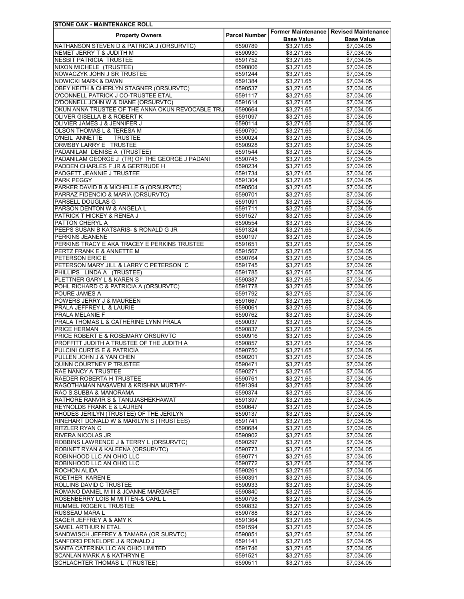| <b>STONE OAK - MAINTENANCE ROLL</b>              |                      |                   |                                          |
|--------------------------------------------------|----------------------|-------------------|------------------------------------------|
| <b>Property Owners</b>                           | <b>Parcel Number</b> |                   | Former Maintenance   Revised Maintenance |
|                                                  |                      | <b>Base Value</b> | <b>Base Value</b>                        |
| NATHANSON STEVEN D & PATRICIA J (ORSURVTC)       | 6590789              | \$3,271.65        | \$7,034.05                               |
| NEMET JERRY T & JUDITH M                         | 6590930              | \$3,271.65        | \$7,034.05                               |
| <b>NESBIT PATRICIA TRUSTEE</b>                   | 6591752              | \$3,271.65        | \$7.034.05                               |
| <b>NIXON MICHELE (TRUSTEE)</b>                   | 6590806              | \$3,271.65        | \$7,034.05                               |
| NOWACZYK JOHN J SR TRUSTEE                       | 6591244              | \$3,271.65        | \$7,034.05                               |
| <b>NOWICKI MARK &amp; DAWN</b>                   | 6591384              | \$3,271.65        | \$7,034.05                               |
| OBEY KEITH & CHERLYN STAGNER (ORSURVTC)          | 6590537              | \$3,271.65        | \$7,034.05                               |
| O'CONNELL PATRICK J CO-TRUSTEE ETAL              | 6591117              | \$3,271.65        | \$7,034.05                               |
| O'DONNELL JOHN W & DIANE (ORSURVTC)              | 6591614              | \$3,271.65        | \$7,034.05                               |
| OKUN ANNA TRUSTEE OF THE ANNA OKUN REVOCABLE TRU | 6590664              | \$3,271.65        | \$7,034.05                               |
| OLIVER GISELLA B & ROBERT K                      | 6591097              | \$3,271.65        | \$7.034.05                               |
| OLIVIER JAMES J & JENNIFER J                     | 6590114              | \$3,271.65        | \$7.034.05                               |
| OLSON THOMAS L & TERESA M                        | 6590790              | \$3,271.65        | \$7,034.05                               |
| O'NEIL ANNETTE<br><b>TRUSTEE</b>                 | 6590024              | \$3,271.65        | \$7,034.05                               |
| ORMSBY LARRY E TRUSTEE                           | 6590928              | \$3,271.65        | \$7,034.05                               |
| PADANILAM DENISE A (TRUSTEE)                     | 6591544              | \$3,271.65        | \$7,034.05                               |
| PADANILAM GEORGE J (TR) OF THE GEORGE J PADANI   | 6590745              | \$3,271.65        | \$7,034.05                               |
| PADDEN CHARLES F JR & GERTRUDE H                 | 6590234              | \$3,271.65        | \$7,034.05                               |
| PADGETT JEANNIE J TRUSTEE                        | 6591734              | \$3,271.65        | \$7,034.05                               |
| <b>PARK PEGGY</b>                                | 6591304              | \$3,271.65        | \$7,034.05                               |
| PARKER DAVID B & MICHELLE G (ORSURVTC)           | 6590504              | \$3,271.65        | \$7,034.05                               |
| PARRAZ FIDENCIO & MARIA (ORSURVTC)               | 6590701              | \$3,271.65        | \$7,034.05                               |
|                                                  |                      |                   |                                          |
| PARSELL DOUGLAS G                                | 6591091              | \$3,271.65        | \$7,034.05                               |
| PARSON DENTON W & ANGELA L                       | 6591711              | \$3,271.65        | \$7,034.05                               |
| PATRICK T HICKEY & RENEA J                       | 6591527              | \$3,271.65        | \$7,034.05                               |
| PATTON CHERYL A                                  | 6590554              | \$3,271.65        | \$7,034.05                               |
| PEEPS SUSAN B KATSARIS- & RONALD G JR            | 6591324              | \$3,271.65        | \$7.034.05                               |
| PERKINS JEANENE                                  | 6590197              | \$3.271.65        | \$7,034.05                               |
| PERKINS TRACY E AKA TRACEY E PERKINS TRUSTEE     | 6591651              | \$3,271.65        | \$7,034.05                               |
| PERTZ FRANK E & ANNETTE M                        | 6591567              | \$3,271.65        | \$7,034.05                               |
| PETERSON ERIC E                                  | 6590764              | \$3,271.65        | \$7,034.05                               |
| PETERSON MARY JILL & LARRY C PETERSON C          | 6591745              | \$3,271.65        | \$7,034.05                               |
| PHILLIPS LINDA A (TRUSTEE)                       | 6591785              | \$3,271.65        | \$7,034.05                               |
| PLETTNER GARY L & KAREN S                        | 6590387              | \$3,271.65        | \$7,034.05                               |
| POHL RICHARD C & PATRICIA A (ORSURVTC)           | 6591778              | \$3,271.65        | \$7,034.05                               |
| POURE JAMES A                                    | 6591792              | \$3,271.65        | \$7,034.05                               |
| POWERS JERRY J & MAUREEN                         | 6591667              | \$3,271.65        | \$7,034.05                               |
| PRALA JEFFREY L & LAURIE                         | 6590061              | \$3,271.65        | \$7,034.05                               |
| PRALA MELANIE F                                  | 6590762              | \$3,271.65        | \$7,034.05                               |
| PRALA THOMAS L & CATHERINE LYNN PRALA            | 6590037              | \$3,271.65        | \$7,034.05                               |
| <b>PRICE HERMAN</b>                              | 6590837              | \$3,271.65        | \$7,034.05                               |
| PRICE ROBERT E & ROSEMARY ORSURVTC               | 6590916              | \$3,271.65        | \$7,034.05                               |
| PROFFITT JUDITH A TRUSTEE OF THE JUDITH A        | 6590857              | \$3,271.65        | \$7,034.05                               |
| PULCINI CURTIS E & PATRICIA                      |                      |                   |                                          |
|                                                  | 6590750              | \$3,271.65        | \$7,034.05                               |
| PULLEN JOHN J & YAN CHEN                         | 6590201              | \$3,271.65        | \$7,034.05                               |
| QUINN COURTNEY P TRUSTEE                         | 6590471              | \$3,271.65        | \$7,034.05                               |
| <b>RAE NANCY A TRUSTEE</b>                       | 6590271              | \$3,271.65        | \$7,034.05                               |
| <b>RAEDER ROBERTA H TRUSTEE</b>                  | 6590761              | \$3,271.65        | \$7,034.05                               |
| RAGOTHAMAN NAGAVENI & KRISHNA MURTHY-            | 6591394              | \$3,271.65        | \$7,034.05                               |
| RAO S.SUBBA & MANORAMA                           | 6590374              | \$3,271.65        | \$7,034.05                               |
| RATHORE RANVIR S & TANUJASHEKHAWAT               | 6591397              | \$3,271.65        | \$7,034.05                               |
| <b>REYNOLDS FRANK E &amp; LAUREN</b>             | 6590647              | \$3,271.65        | \$7,034.05                               |
| RHODES JERILYN (TRUSTEE) OF THE JERILYN          | 6590137              | \$3,271.65        | \$7,034.05                               |
| RINEHART DONALD W & MARILYN S (TRUSTEES)         | 6591741              | \$3,271.65        | \$7,034.05                               |
| <b>RITZLER RYAN C</b>                            | 6590684              | \$3,271.65        | \$7,034.05                               |
| <b>RIVERA NICOLAS JR</b>                         | 6590902              | \$3,271.65        | \$7,034.05                               |
| ROBBINS LAWRENCE J & TERRY L (ORSURVTC)          | 6590297              | \$3,271.65        | \$7,034.05                               |
| ROBINET RYAN & KALEENA (ORSURVTC)                | 6590773              | \$3,271.65        | \$7,034.05                               |
| ROBINHOOD LLC AN OHIO LLC                        | 6590771              | \$3,271.65        | \$7,034.05                               |
| ROBINHOOD LLC AN OHIO LLC                        | 6590772              | \$3,271.65        | \$7,034.05                               |
| <b>ROCHON ALIDA</b>                              | 6590261              | \$3,271.65        | \$7,034.05                               |
| ROETHER KAREN E                                  | 6590391              | \$3,271.65        | \$7,034.05                               |
| ROLLINS DAVID C TRUSTEE                          | 6590933              |                   | \$7,034.05                               |
|                                                  |                      | \$3,271.65        |                                          |
| ROMANO DANIEL M III & JOANNE MARGARET            | 6590840              | \$3,271.65        | \$7,034.05                               |
| ROSENBERRY LOIS M MITTEN-& CARL L                | 6590798              | \$3,271.65        | \$7,034.05                               |
| <b>RUMMEL ROGER L TRUSTEE</b>                    | 6590832              | \$3,271.65        | \$7,034.05                               |
| RUSSEAU MARA L                                   | 6590788              | \$3,271.65        | \$7,034.05                               |
| SAGER JEFFREY A & AMY K                          | 6591364              | \$3,271.65        | \$7,034.05                               |
| <b>SAMEL ARTHUR N ETAL</b>                       | 6591594              | \$3,271.65        | \$7,034.05                               |
| SANDWISCH JEFFREY & TAMARA (OR SURVTC)           | 6590851              | \$3,271.65        | \$7,034.05                               |
| SANFORD PENELOPE J & RONALD J                    | 6591141              | \$3,271.65        | \$7,034.05                               |
| SANTA CATERINA LLC AN OHIO LIMITED               | 6591746              | \$3,271.65        | \$7,034.05                               |
| <b>SCANLAN MARK A &amp; KATHRYN E</b>            | 6591521              | \$3,271.65        | \$7,034.05                               |
| SCHLACHTER THOMAS L (TRUSTEE)                    | 6590511              | \$3,271.65        | \$7,034.05                               |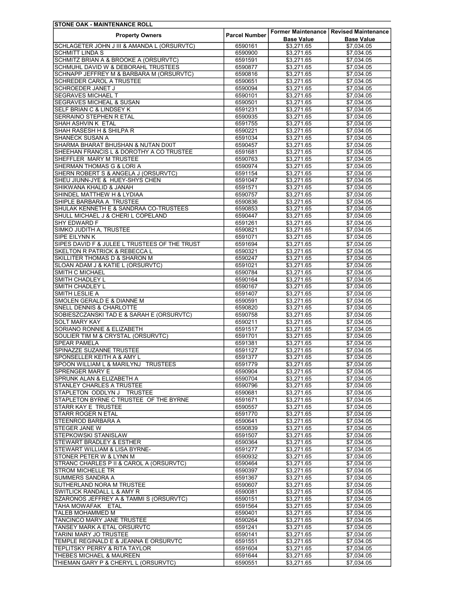| <b>STONE OAK - MAINTENANCE ROLL</b>                                        |                      |                          |                                          |
|----------------------------------------------------------------------------|----------------------|--------------------------|------------------------------------------|
| <b>Property Owners</b>                                                     | <b>Parcel Number</b> |                          | Former Maintenance   Revised Maintenance |
|                                                                            |                      | <b>Base Value</b>        | <b>Base Value</b>                        |
| SCHLAGETER JOHN J III & AMANDA L (ORSURVTC)                                | 6590161              | \$3,271.65               | \$7,034.05                               |
| <b>SCHMITT LINDA S</b>                                                     | 6590900              | \$3,271.65               | \$7,034.05                               |
| SCHMITZ BRIAN A & BROOKE A (ORSURVTC)                                      | 6591591              | \$3,271.65               | \$7.034.05                               |
| SCHMUHL DAVID W & DEBORAHL TRUSTEES                                        | 6590877              | \$3,271.65               | \$7,034.05                               |
| SCHNAPP JEFFREY M & BARBARA M (ORSURVTC)                                   | 6590816              | \$3,271.65               | \$7,034.05                               |
| SCHREDER CAROL A TRUSTEE                                                   | 6590651              | \$3,271.65               | \$7,034.05                               |
| <b>SCHROEDER JANET J</b>                                                   | 6590094              | \$3,271.65               | \$7,034.05                               |
| <b>SEGRAVES MICHAEL T</b>                                                  | 6590101              | \$3,271.65               | \$7,034.05                               |
| <b>SEGRAVES MICHEAL &amp; SUSAN</b><br><b>SELF BRIAN C &amp; LINDSEY K</b> | 6590501              | \$3,271.65<br>\$3.271.65 | \$7,034.05                               |
| SERRAINO STEPHEN R ETAL                                                    | 6591231<br>6590935   | \$3,271.65               | \$7,034.05<br>\$7,034.05                 |
| <b>SHAH ASHVIN K ETAL</b>                                                  | 6591755              | \$3,271.65               | \$7,034.05                               |
| SHAH RASESH H & SHILPA R                                                   | 6590221              | \$3,271.65               | \$7,034.05                               |
| <b>SHANECK SUSAN A</b>                                                     | 6591034              | \$3,271.65               | \$7,034.05                               |
| SHARMA BHARAT BHUSHAN & NUTAN DIXIT                                        | 6590457              | \$3,271.65               | \$7,034.05                               |
| SHEEHAN FRANCIS L & DOROTHY A CO TRUSTEE                                   | 6591681              | \$3,271.65               | \$7,034.05                               |
| SHEFFLER MARY M TRUSTEE                                                    | 6590763              | \$3,271.65               | \$7,034.05                               |
| SHERMAN THOMAS G & LORI A                                                  | 6590974              | \$3,271.65               | \$7,034.05                               |
| SHERN ROBERT S & ANGELA J (ORSURVTC)                                       | 6591154              | \$3,271.65               | \$7.034.05                               |
| SHEU JIUNN-JYE & HUEY-SHYS CHEN                                            | 6591047              | \$3.271.65               | \$7,034.05                               |
| <b>SHIKWANA KHALID &amp; JANAH</b>                                         | 6591571              | \$3,271.65               | \$7,034.05                               |
| SHINDEL MATTHEW H & LYDIAA                                                 | 6590757              | \$3,271.65               | \$7,034.05                               |
| SHIPLE BARBARA A TRUSTEE                                                   | 6590836              | \$3,271.65               | \$7,034.05                               |
| SHULAK KENNETH E & SANDRAA CO-TRUSTEES                                     | 6590853              | \$3,271.65               | \$7,034.05                               |
| SHULL MICHAEL J & CHERI L COPELAND                                         | 6590447              | \$3,271.65               | \$7,034.05                               |
| SHY EDWARD F                                                               | 6591261              | \$3,271.65               | \$7,034.05                               |
| SIMKO JUDITH A, TRUSTEE                                                    | 6590821              | \$3,271.65               | \$7,034.05                               |
| <b>SIPE EILYNN K</b>                                                       | 6591071              | \$3,271.65               | \$7,034.05                               |
| SIPES DAVID F & JULEE L TRUSTEES OF THE TRUST                              | 6591694              | \$3,271.65               | \$7,034.05                               |
| <b>SKELTON R PATRICK &amp; REBECCA L</b>                                   | 6590321              | \$3,271.65               | \$7,034.05                               |
| SKILLITER THOMAS D & SHARON M                                              | 6590247              | \$3,271.65               | \$7,034.05                               |
| SLOAN ADAM J & KATIE L (ORSURVTC)                                          | 6591021              | \$3,271.65               | \$7,034.05                               |
| <b>SMITH C MICHAEL</b>                                                     | 6590784              | \$3,271.65               | \$7,034.05                               |
| <b>SMITH CHADLEY L</b>                                                     | 6590164              | \$3,271.65               | \$7,034.05                               |
| <b>SMITH CHADLEY L</b>                                                     | 6590167              | \$3,271.65               | \$7,034.05                               |
| <b>SMITH LESLIE A</b>                                                      | 6591407              | \$3,271.65               | \$7,034.05                               |
| SMOLEN GERALD E & DIANNE M                                                 | 6590591              | \$3,271.65               | \$7,034.05                               |
| SNELL DENNIS & CHARLOTTE                                                   | 6590820              | \$3,271.65               | \$7,034.05                               |
| SOBIESZCZANSKI TAD E & SARAH E (ORSURVTC)                                  | 6590758              | \$3,271.65               | \$7,034.05                               |
| <b>SOLT MARY KAY</b>                                                       | 6590211              | \$3,271.65               | \$7,034.05                               |
| SORIANO RONNIE & ELIZABETH                                                 | 6591517              | \$3,271.65               | \$7,034.05                               |
| SOULIER TIM M & CRYSTAL (ORSURVTC)                                         | 6591701              | \$3,271.65               | \$7,034.05                               |
| <b>SPEAR PAMELA</b>                                                        | 6591381              | \$3,271.65               | \$7,034.05                               |
| SPINAZZE SUZANNE TRUSTEE                                                   | 6591127              | \$3,271.65               | \$7,034.05                               |
| SPONSELLER KEITH A & AMY L                                                 | 6591377              | \$3,271.65               | \$7,034.05                               |
| SPOON WILLIAM L & MARILYNJ TRUSTEES                                        | 6591779              | \$3,271.65               | \$7,034.05                               |
| SPRENGER MARY E                                                            | 6590904              | \$3,271.65               | \$7,034.05                               |
| SPRUNK ALAN & ELIZABETH A                                                  | 6590704              | \$3,271.65               | \$7.034.05                               |
| <b>STANLEY CHARLES A TRUSTEE</b>                                           | 6590796              | \$3,271.65               | \$7,034.05                               |
| STAPLETON ODDLYN J TRUSTEE                                                 | 6590681              | \$3,271.65               | \$7,034.05                               |
| STAPLETON BYRNE C TRUSTEE OF THE BYRNE                                     | 6591671              | \$3,271.65               | \$7,034.05                               |
| <b>STARR KAY E TRUSTEE</b>                                                 | 6590557              | \$3,271.65               | \$7.034.05                               |
| <b>STARR ROGER N ETAL</b>                                                  | 6591770              | \$3,271.65               | \$7,034.05                               |
| STEENROD BARBARA A                                                         | 6590641              | \$3,271.65               | \$7,034.05                               |
| <b>STEGER JANE W</b>                                                       | 6590839              | \$3,271.65               | \$7,034.05                               |
| <b>STEPKOWSKI STANISLAW</b>                                                | 6591507              | \$3,271.65               | \$7,034.05                               |
| STEWART BRADLEY & ESTHER                                                   | 6590364              | \$3,271.65               | \$7.034.05                               |
| <b>STEWART WILLIAM &amp; LISA BYRNE-</b>                                   | 6591277              | \$3,271.65               | \$7,034.05                               |
| STONER PETER W & LYNN M                                                    | 6590932              | \$3,271.65               | \$7,034.05                               |
| STRANC CHARLES P II & CAROL A (ORSURVTC)                                   | 6590464              | \$3,271.65               | \$7,034.05                               |
| <b>STROM MICHELLE TR</b>                                                   | 6590397              | \$3,271.65               | \$7,034.05                               |
| <b>SUMMERS SANDRA A</b>                                                    | 6591367              | \$3,271.65               | \$7,034.05                               |
| SUTHERLAND NORA M TRUSTEE<br><b>SWITLICK RANDALL L &amp; AMY R</b>         | 6590607<br>6590081   | \$3,271.65<br>\$3,271.65 | \$7,034.05<br>\$7,034.05                 |
|                                                                            |                      |                          |                                          |
| SZARONOS JEFFREY A & TAMMI S (ORSURVTC)<br>TAHA MOWAFAK ETAL               | 6590151<br>6591564   | \$3,271.65<br>\$3,271.65 | \$7,034.05<br>\$7,034.05                 |
| TALEB MOHAMMED M                                                           | 6590401              | \$3,271.65               | \$7,034.05                               |
| TANCINCO MARY JANE TRUSTEE                                                 | 6590264              | \$3,271.65               | \$7,034.05                               |
| TANSEY MARK A ETAL ORSURVTC                                                | 6591241              | \$3,271.65               | \$7,034.05                               |
| TARINI MARY JO TRUSTEE                                                     | 6590141              | \$3,271.65               | \$7,034.05                               |
| TEMPLE REGINALD E & JEANNA E ORSURVTC                                      | 6591551              | \$3,271.65               | \$7,034.05                               |
| TEPLITSKY PERRY & RITA TAYLOR                                              | 6591604              | \$3,271.65               | \$7,034.05                               |
| THEBES MICHAEL & MAUREEN                                                   | 6591644              | \$3,271.65               | \$7,034.05                               |
| THIEMAN GARY P & CHERYL L (ORSURVTC)                                       | 6590551              | \$3,271.65               | \$7,034.05                               |